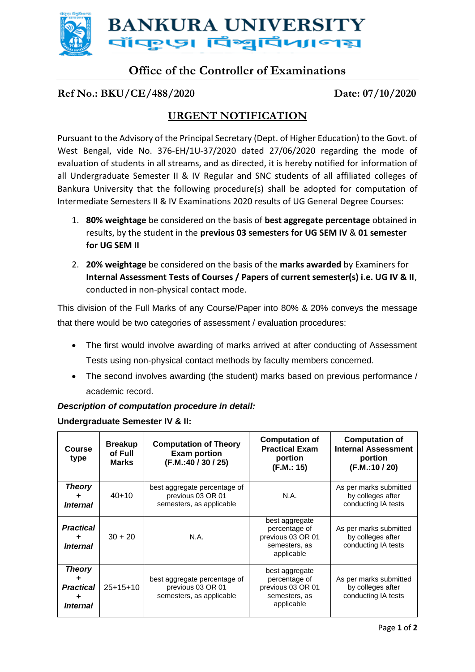

# **Office of the Controller of Examinations**

#### **Ref No.: BKU/CE/488/2020 Date: 07/10/2020**

## **URGENT NOTIFICATION**

Pursuant to the Advisory of the Principal Secretary (Dept. of Higher Education) to the Govt. of West Bengal, vide No. 376-EH/1U-37/2020 dated 27/06/2020 regarding the mode of evaluation of students in all streams, and as directed, it is hereby notified for information of all Undergraduate Semester II & IV Regular and SNC students of all affiliated colleges of Bankura University that the following procedure(s) shall be adopted for computation of Intermediate Semesters II & IV Examinations 2020 results of UG General Degree Courses:

- 1. **80% weightage** be considered on the basis of **best aggregate percentage** obtained in results, by the student in the **previous 03 semesters for UG SEM IV** & **01 semester for UG SEM II**
- 2. **20% weightage** be considered on the basis of the **marks awarded** by Examiners for **Internal Assessment Tests of Courses / Papers of current semester(s) i.e. UG IV & II**, conducted in non-physical contact mode.

This division of the Full Marks of any Course/Paper into 80% & 20% conveys the message that there would be two categories of assessment / evaluation procedures:

- The first would involve awarding of marks arrived at after conducting of Assessment Tests using non-physical contact methods by faculty members concerned.
- The second involves awarding (the student) marks based on previous performance / academic record.

**Computation of** 

#### *Description of computation procedure in detail:*

| Undergraduate Semester TV & II. |                       |                                           |                                                                            |                                     |  |  |
|---------------------------------|-----------------------|-------------------------------------------|----------------------------------------------------------------------------|-------------------------------------|--|--|
|                                 | <b>Course</b><br>type | <b>Breakup</b><br>of Full<br><b>Marks</b> | <b>Computation of Theory</b><br><b>Exam portion</b><br>(F.M.:40 / 30 / 25) | Comput<br>Practica<br>port<br>(F.M. |  |  |
|                                 | <b>Theory</b>         | $40 + 10$                                 | best aggregate percentage of<br>previous 03 OR 01                          | Ν.                                  |  |  |

### **Undergraduate Semester IV & II:**

| Course<br>type                                          | <b>Breakup</b><br>of Full<br><b>Marks</b> | <b>Computation of Theory</b><br><b>Exam portion</b><br>(F.M.:40 / 30 / 25)    | <b>OUIIIputution</b> UI<br><b>Practical Exam</b><br>portion<br>(F.M.: 15)           | <b>UUIIIPULULIUII UI</b><br><b>Internal Assessment</b><br>portion<br>(F.M.:10/20) |
|---------------------------------------------------------|-------------------------------------------|-------------------------------------------------------------------------------|-------------------------------------------------------------------------------------|-----------------------------------------------------------------------------------|
| <b>Theory</b><br>٠<br><i><b>Internal</b></i>            | $40 + 10$                                 | best aggregate percentage of<br>previous 03 OR 01<br>semesters, as applicable | N.A.                                                                                | As per marks submitted<br>by colleges after<br>conducting IA tests                |
| <b>Practical</b><br>٠<br><i><b>Internal</b></i>         | $30 + 20$                                 | N.A.                                                                          | best aggregate<br>percentage of<br>previous 03 OR 01<br>semesters, as<br>applicable | As per marks submitted<br>by colleges after<br>conducting IA tests                |
| <b>Theory</b><br>٠<br><b>Practical</b><br>٠<br>Internal | $25+15+10$                                | best aggregate percentage of<br>previous 03 OR 01<br>semesters, as applicable | best aggregate<br>percentage of<br>previous 03 OR 01<br>semesters, as<br>applicable | As per marks submitted<br>by colleges after<br>conducting IA tests                |

**Computation of**